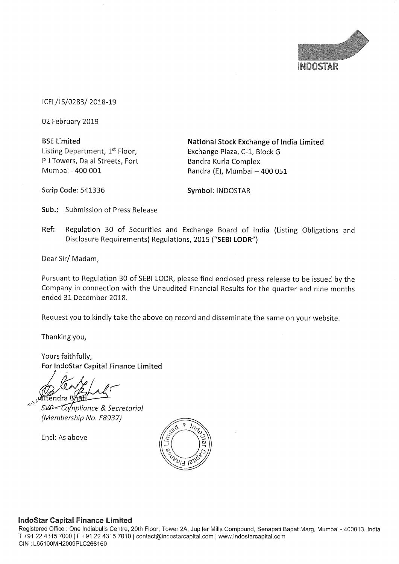

lCFL/LS/0283/ 2018—19

02. February 2019

Listing Department, 1<sup>st</sup> Floor, Exchange Plaza, C-1, Block G P J Towers, Dalal Streets, Fort Bandra Kurla Complex<br>
Mumbai - 400 001 Bandra (F), Mumbai -

BSE Limited **National Stock Exchange of India Limited** Bandra (E), Mumbai  $-400$  051

Scrip Code: 541336 Symbol: INDOSTAR

Sub.: Submission of Press Release

Ref: Regulation 30 of Securities and Exchange Board of india (Listing Obligations and Disclosure Requirements) Regulations, 2015 ("SEBI LODR")

Dear Sir/ Madam,

Pursuant to Regulation <sup>30</sup> of SEBI LODR, please find enclosed press release to be issued by the Company in connection with the Unaudited Financial Results for the quarter and nine months ended 31 December 2018.

Request you to kindly take the above on record and disseminate the same on your website.

Thanking you,

Yours faithfully, For lndoStar Capital Finance Limited

wittendra B

SVP - Compliance & Secretarial (Membership No. F8937)

Encl: As above



## lndoStar Capital Finance Limited

Registered Office : One lndiabulls Centre, 20th Floor, Tower 2A, Jupiter Mills Compound, Senapati Bapat Marg, Mumbai — 400013, lndia T +91 22 4315 7000 | F +91 22 4315 7010 | contact@indostarcapital.com | www.indostarcapital.com CIN : L65100MH2009PLC268160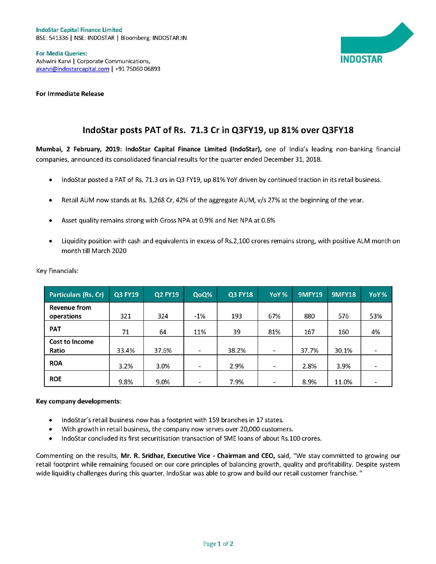

For Media Queries: Ashwini Karvi | Corporate Communications, **INDOSTAR** akarvi@indostarcapital.com <sup>|</sup> +91 75060 06893

For Immediate Release

## IndoStar posts PAT of Rs. 71.3 Cr in Q3FY19, up 81% over Q3FY18

Mumbai, <sup>2</sup> February, 2019: lndoStar Capital Finance Limited (lndoStar), one of India's leading non-banking financial companies, announced its consolidated financial results for the quarter ended December 31, 2018.

- IndoStar posted a PAT of Rs. 71.3 crs in Q3 FY19, up 81% YoY driven by continued traction in its retail business.
- <sup>0</sup> Retail AUM now stands at Rs. 3,268 Cr, 42% of the aggregate AU M, v/s 27% at the beginning of the year.
- Asset quality remains strong with Gross NPA at 0.9% and Net NPA at 0.6%
- $\bullet$ Liquidity position with cash and equivalents in excess of Rs.2,100 crores remains strong, with positive ALM month on month till March 2020

| <b>Particulars (Rs. Cr)</b>       | Q3 FY19 | <b>Q2 FY19</b> | QoQ%     | <b>Q3 FY18</b> | YoY%           | <b>9MFY19</b> | <b>9MFY18</b> | YoY%           |
|-----------------------------------|---------|----------------|----------|----------------|----------------|---------------|---------------|----------------|
| <b>Revenue from</b><br>operations | 321     | 324            | $-1%$    | 193            | 67%            | 880           | 576           | 53%            |
| <b>PAT</b>                        | 71      | 64             | 11%      | 39             | 81%            | 167           | 160           | 4%             |
| <b>Cost to Income</b><br>Ratio    | 33.4%   | 37.6%          | $\sim$   | 38.2%          | $\sim$         | 37.7%         | 30.1%         | $\frac{1}{2}$  |
| <b>ROA</b>                        | 3.2%    | 3.0%           | $\equiv$ | 2.9%           | $\equiv$       | 2.8%          | 3.9%          | $\blacksquare$ |
| <b>ROE</b>                        | 9.8%    | 9.0%           | $\sim$   | 7.9%           | $\blacksquare$ | 8.9%          | 11.0%         |                |

Key Financials:

## Key company developments:

- IndoStar's retail business now has a footprint with 159 branches in 17 states.
- With growth in retail business, the company now serves over 20,000 customers.
- <sup>0</sup> IndoStar concluded its first securitisation transaction of SME loans of about Rs.100 crores.

Commenting on the results, Mr. R. Sridhar, Executive Vice - Chairman and CEO, said, "We stay committed to growing our retail footprint while remaining focused on our core principles of balancing growth, quality and profitability. Despite system wide liquidity challenges during this quarter, IndoStar was able to grow and build our retail customer franchise."